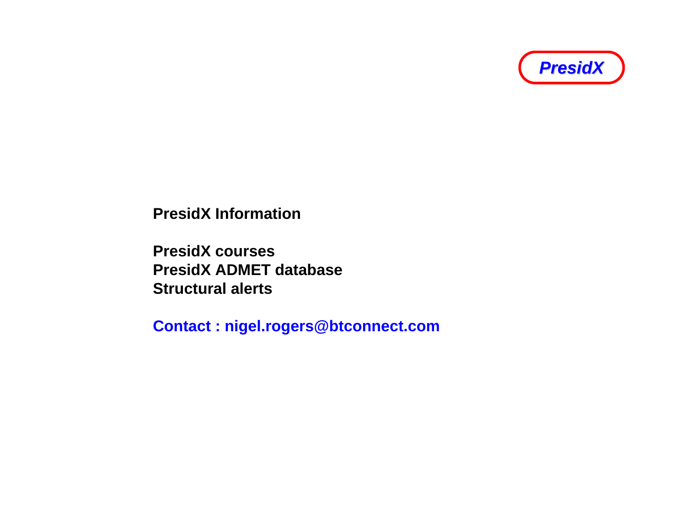

**PresidX Information**

**PresidX courses PresidX ADMET databaseStructural alerts**

**Contact : nigel.rogers@btconnect.com**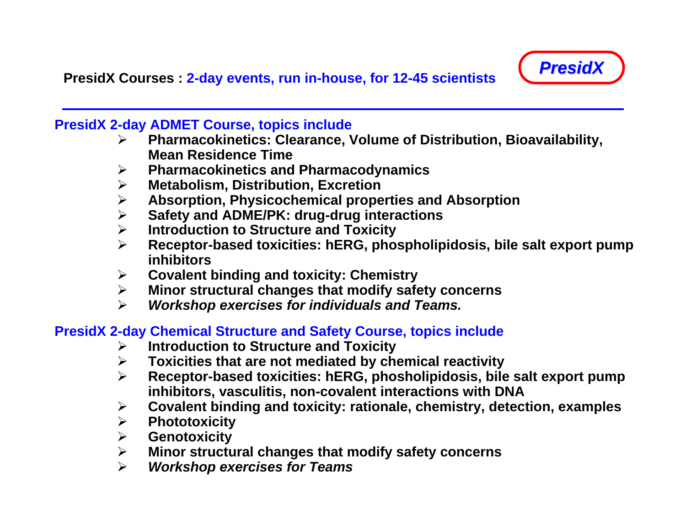

## **PresidX 2-day ADMET Course, topics include**

- $\blacktriangleright$  **Pharmacokinetics: Clearance, Volume of Distribution, Bioavailability, Mean Residence Time**
- ¾**Pharmacokinetics and Pharmacodynamics**
- ¾**Metabolism, Distribution, Excretion**
- ¾**Absorption, Physicochemical properties and Absorption**
- ¾**Safety and ADME/PK: drug-drug interactions**
- ¾**Introduction to Structure and Toxicity**
- ¾ **Receptor-based toxicities: hERG, phospholipidosis, bile salt export pump inhibitors**
- $\blacktriangleright$ **Covalent binding and toxicity: Chemistry**
- $\blacktriangleright$ **Minor structural changes that modify safety concerns**
- $\blacktriangleright$ *Workshop exercises for individuals and Teams.*

## **PresidX 2-day Chemical Structure and Safety Course, topics include**

- $\blacktriangleright$ **Introduction to Structure and Toxicity**
- ¾**Toxicities that are not mediated by chemical reactivity**
- $\blacktriangleright$  **Receptor-based toxicities: hERG, phosholipidosis, bile salt export pump inhibitors, vasculitis, non-covalent interactions with DNA**
- ¾**Covalent binding and toxicity: rationale, chemistry, detection, examples**
- $\blacktriangleright$ **Phototoxicity**
- $\blacktriangleright$ **Genotoxicity**
- ¾**Minor structural changes that modify safety concerns**
- ¾*Workshop exercises for Teams*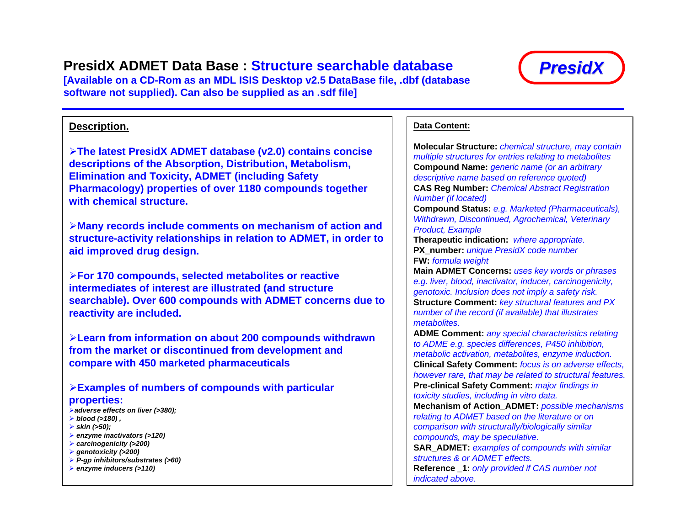## **PresidX ADMET Data Base : Structure searchable database**

**[Available on a CD-Rom as an MDL ISIS Desktop v2.5 DataBase file, .dbf (database software not supplied). Can also be supplied as an .sdf file]**



¾**The latest PresidX ADMET database (v2.0) contains concise descriptions of the Absorption, Distribution, Metabolism, Elimination and Toxicity, ADMET (including Safety Pharmacology) properties of over 1180 compounds together with chemical structure.** 

¾**Many records include comments on mechanism of action and structure-activity relationships in relation to ADMET, in order to aid improved drug design.**

¾**For 170 compounds, selected metabolites or reactive intermediates of interest are illustrated (and structure searchable). Over 600 compounds with ADMET concerns due to reactivity are included.**

¾**Learn from information on about 200 compounds withdrawn from the market or discontinued from development and compare with 450 marketed pharmaceuticals**

### ¾**Examples of numbers of compounds with particular properties:**

- ¾*adverse effects on liver (>380);*
- ¾ *blood (>180) ,*
- ¾ *skin (>50);*
- ¾ *enzyme inactivators (>120)*
- ¾ *carcinogenicity (>200)*
- ¾ *genotoxicity (>200)*
- ¾ *P-gp inhibitors/substrates (>60)*
- ¾ *enzyme inducers (>110)*

#### **Data Content:**

**Molecular Structure:** *chemical structure, may contain multiple structures for entries relating to metabolites* **Compound Name:** *generic name (or an arbitrary descriptive name based on reference quoted)* **CAS Reg Number:** *Chemical Abstract Registration Number (if located)*

**Compound Status:** *e.g. Marketed (Pharmaceuticals), Withdrawn, Discontinued, Agrochemical, Veterinary Product, Example*

**Therapeutic indication:** *where appropriate.* **PX\_number:** *unique PresidX code number* **FW:** *formula weight*

**Main ADMET Concerns:** *uses key words or phrases e.g. liver, blood, inactivator, inducer, carcinogenicity, genotoxic. Inclusion does not imply a safety risk.* **Structure Comment:** *key structural features and PX number of the record (if available) that illustrates metabolites.* 

**ADME Comment:** *any special characteristics relating to ADME e.g. species differences, P450 inhibition, metabolic activation, metabolites, enzyme induction.* **Clinical Safety Comment:** *focus is on adverse effects, however rare, that may be related to structural features.* **Pre-clinical Safety Comment:** *major findings in toxicity studies, including in vitro data.*  **Mechanism of Action\_ADMET:** *possible mechanisms relating to ADMET based on the literature or on comparison with structurally/biologically similar compounds, may be speculative.* **SAR\_ADMET:** *examples of compounds with similar structures & or ADMET effects.* 

**Reference \_1:** *only provided if CAS number not indicated above.* 

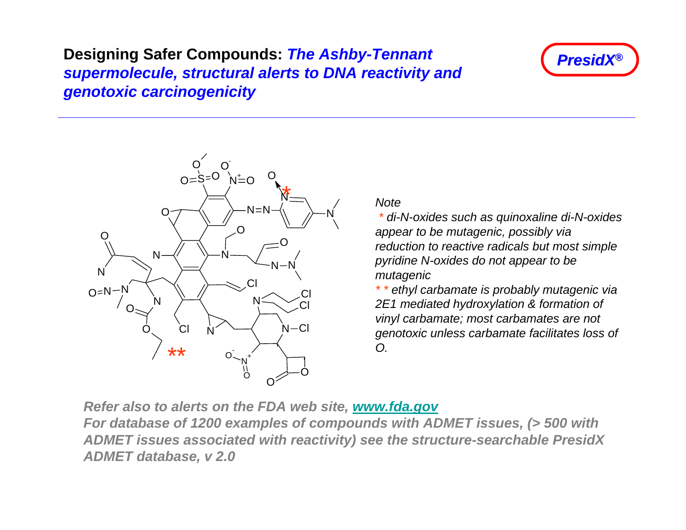**Designing Safer Compounds:** *The Ashby-Tennant supermolecule, structural alerts to DNA reactivity and genotoxic carcinogenicity*





*Note*<br> *\* di-N-oxides such as quinoxaline di-N-oxides*<br> *appear to be mutagenic, possibly via*<br> *reduction to reactive radicals but most simple*<br> *pyridine N-oxides do not appear to be*<br> *mutagenic* 

*\* \**\* \* ethyl carbamate is probably mutagenic via<br>2E1 mediated hydroxylation & formation of<br>vinyl carbamate; most carbamates are not<br>genotoxic unless carbamate facilitates loss of<br>O.

*Refer also to alerts on the FDA web site, [www.fda.gov](http://www.fda.gov/)*

*For database of 1200 examples of compounds with ADMET issues, (> 500 with ADMET issues associated with reactivity) see the structure-searchable PresidX ADMET database, v 2.0*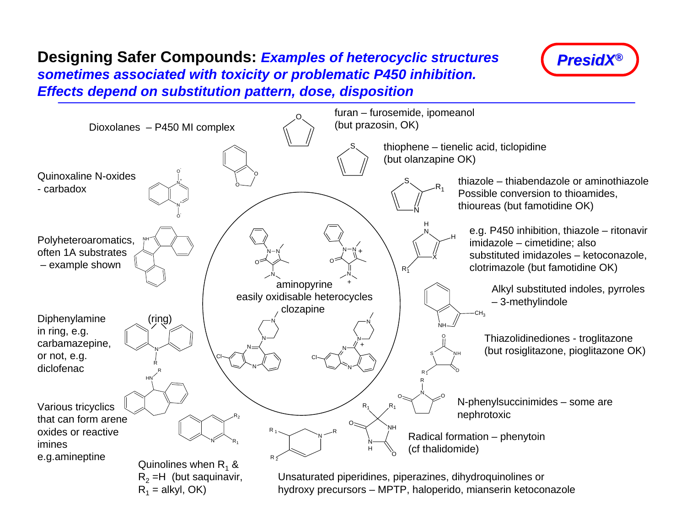# **Designing Safer Compounds:** *Examples of heterocyclic structures sometimes associated with toxicity or problematic P450 inhibition. Effects depend on substitution pattern, dose, disposition*



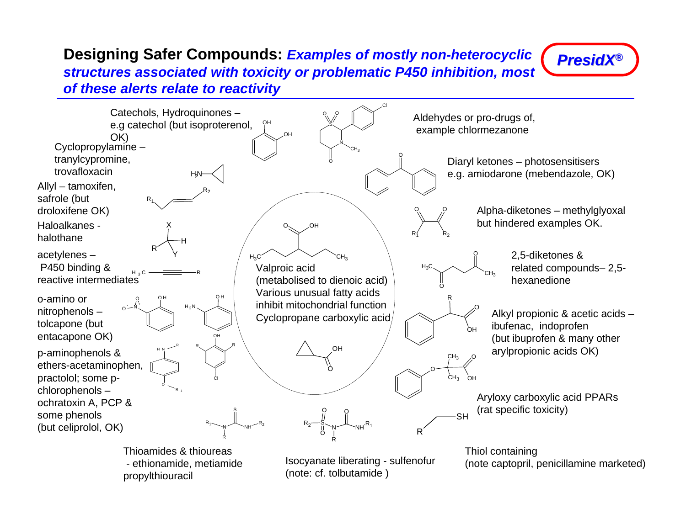## **Designing Safer Compounds:** *Examples of mostly non-heterocyclic structures associated with toxicity or problematic P450 inhibition, most of these alerts relate to reactivity*



propylthiouracil

(note: cf. tolbutamide )

*PresidX PresidX®*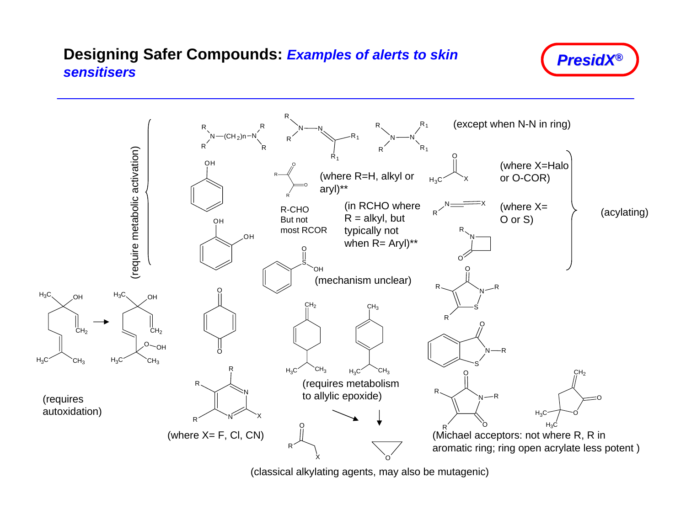# **Designing Safer Compounds:** *Examples of alerts to skin sensitisers*



*PresidX PresidX®*

(classical alkylating agents, may also be mutagenic)